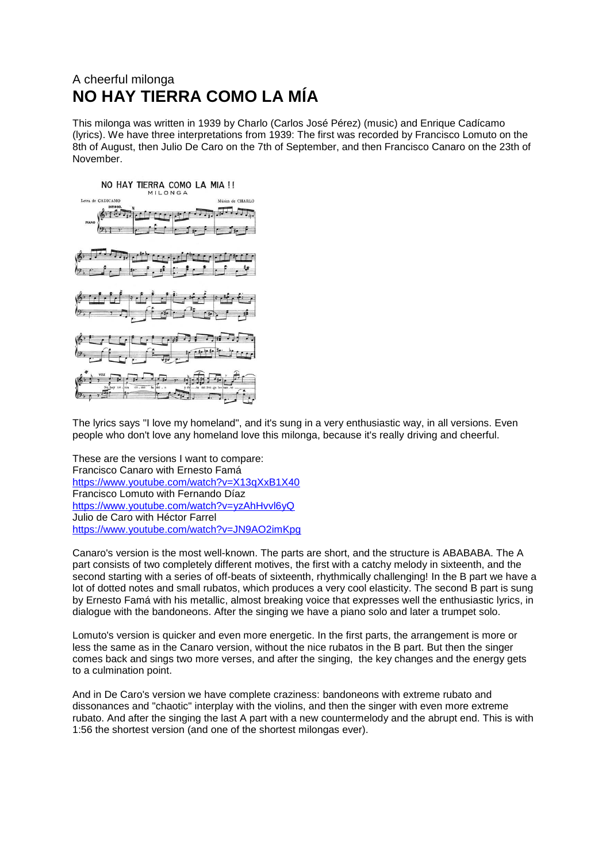## A cheerful milonga **NO HAY TIERRA COMO LA MÍA**

This milonga was written in 1939 by Charlo (Carlos José Pérez) (music) and Enrique Cadícamo (lyrics). We have three interpretations from 1939: The first was recorded by Francisco Lomuto on the 8th of August, then Julio De Caro on the 7th of September, and then Francisco Canaro on the 23th of November.



The lyrics says "I love my homeland", and it's sung in a very enthusiastic way, in all versions. Even people who don't love any homeland love this milonga, because it's really driving and cheerful.

These are the versions I want to compare: Francisco Canaro with Ernesto Famá <https://www.youtube.com/watch?v=X13qXxB1X40> Francisco Lomuto with Fernando Díaz <https://www.youtube.com/watch?v=yzAhHvvl6yQ> Julio de Caro with Héctor Farrel <https://www.youtube.com/watch?v=JN9AO2imKpg>

Canaro's version is the most well-known. The parts are short, and the structure is ABABABA. The A part consists of two completely different motives, the first with a catchy melody in sixteenth, and the second starting with a series of off-beats of sixteenth, rhythmically challenging! In the B part we have a lot of dotted notes and small rubatos, which produces a very cool elasticity. The second B part is sung by Ernesto Famá with his metallic, almost breaking voice that expresses well the enthusiastic lyrics, in dialogue with the bandoneons. After the singing we have a piano solo and later a trumpet solo.

Lomuto's version is quicker and even more energetic. In the first parts, the arrangement is more or less the same as in the Canaro version, without the nice rubatos in the B part. But then the singer comes back and sings two more verses, and after the singing, the key changes and the energy gets to a culmination point.

And in De Caro's version we have complete craziness: bandoneons with extreme rubato and dissonances and "chaotic" interplay with the violins, and then the singer with even more extreme rubato. And after the singing the last A part with a new countermelody and the abrupt end. This is with 1:56 the shortest version (and one of the shortest milongas ever).